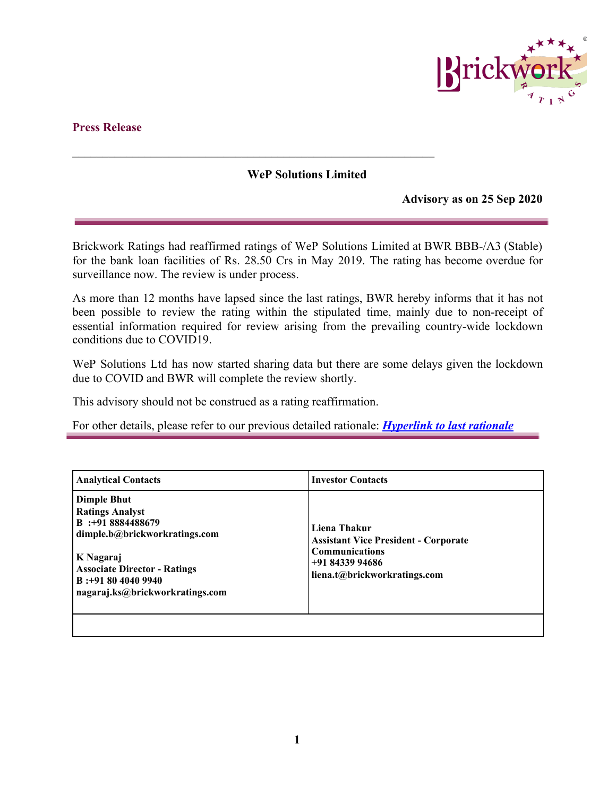

## **Press Release**

## **WeP Solutions Limited**

**\_\_\_\_\_\_\_\_\_\_\_\_\_\_\_\_\_\_\_\_\_\_\_\_\_\_\_\_\_\_\_\_\_\_\_\_\_\_\_\_\_\_\_\_\_\_\_\_\_\_\_\_\_\_\_\_\_\_\_\_**

**Advisory as on 25 Sep 2020**

Brickwork Ratings had reaffirmed ratings of WeP Solutions Limited at BWR BBB-/A3 (Stable) for the bank loan facilities of Rs. 28.50 Crs in May 2019. The rating has become overdue for surveillance now. The review is under process.

As more than 12 months have lapsed since the last ratings, BWR hereby informs that it has not been possible to review the rating within the stipulated time, mainly due to non-receipt of essential information required for review arising from the prevailing country-wide lockdown conditions due to COVID19.

WeP Solutions Ltd has now started sharing data but there are some delays given the lockdown due to COVID and BWR will complete the review shortly.

This advisory should not be construed as a rating reaffirmation.

For other details, please refer to our previous detailed rationale: *[Hyperlink to last rationale](https://www.brickworkratings.com/Admin/PressRelease/Bright-Packaging-2Apr2019.pdf)*

| <b>Analytical Contacts</b>                                                                                                                                                                                        | <b>Investor Contacts</b>                                                                                                                |
|-------------------------------------------------------------------------------------------------------------------------------------------------------------------------------------------------------------------|-----------------------------------------------------------------------------------------------------------------------------------------|
| <b>Dimple Bhut</b><br><b>Ratings Analyst</b><br>$B$ :+91 8884488679<br>dimple.b@brickworkratings.com<br>K Nagaraj<br><b>Associate Director - Ratings</b><br>$B: +918040409940$<br>nagaraj.ks@brickworkratings.com | Liena Thakur<br><b>Assistant Vice President - Corporate</b><br><b>Communications</b><br>$+918433994686$<br>liena.t@brickworkratings.com |